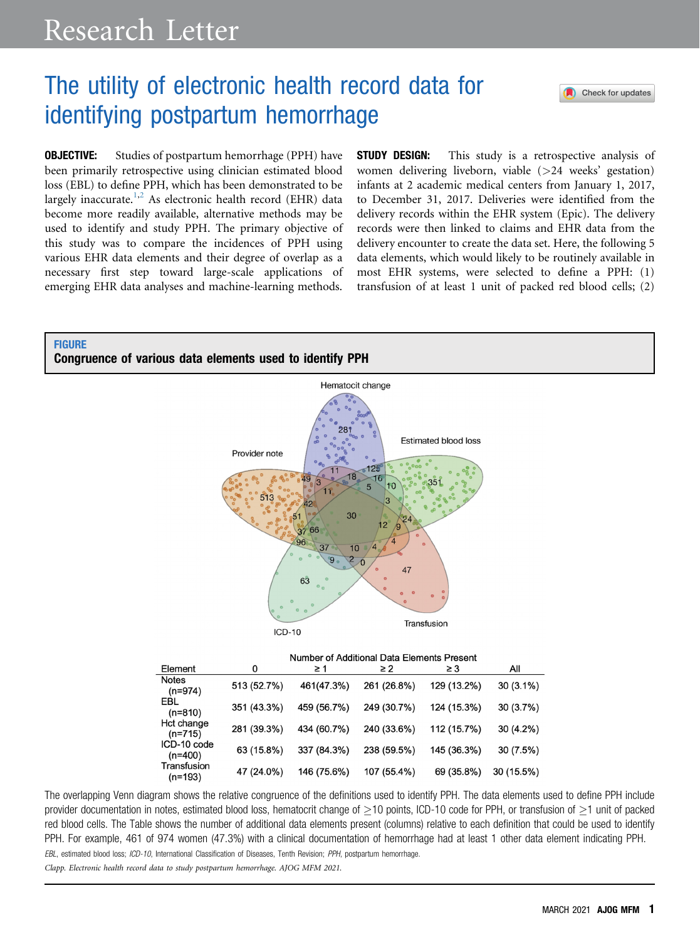## The utility of electronic health record data for identifying postpartum hemorrhage

**OBJECTIVE:** Studies of postpartum hemorrhage (PPH) have been primarily retrospective using clinician estimated blood loss (EBL) to define PPH, which has been demonstrated to be largely inaccurate.<sup>[1](#page-2-0)[,2](#page-2-1)</sup> As electronic health record (EHR) data become more readily available, alternative methods may be used to identify and study PPH. The primary objective of this study was to compare the incidences of PPH using various EHR data elements and their degree of overlap as a necessary first step toward large-scale applications of emerging EHR data analyses and machine-learning methods.

**STUDY DESIGN:** This study is a retrospective analysis of women delivering liveborn, viable (>24 weeks' gestation) infants at 2 academic medical centers from January 1, 2017, to December 31, 2017. Deliveries were identified from the delivery records within the EHR system (Epic). The delivery records were then linked to claims and EHR data from the delivery encounter to create the data set. Here, the following 5 data elements, which would likely to be routinely available in most EHR systems, were selected to define a PPH: (1) transfusion of at least 1 unit of packed red blood cells; (2)

Check for updates

## <span id="page-0-0"></span>**FIGURE**





Number of Additional Data Elements Present

| Element                   |             | ≥ 1         | $\geq$ 2    | $\geq$ 3    | All         |
|---------------------------|-------------|-------------|-------------|-------------|-------------|
| <b>Notes</b><br>$(n=974)$ | 513 (52.7%) | 461(47.3%)  | 261 (26.8%) | 129 (13.2%) | $30(3.1\%)$ |
| EBL<br>$(n=810)$          | 351 (43.3%) | 459 (56.7%) | 249 (30.7%) | 124 (15.3%) | 30 (3.7%)   |
| Hct change<br>$(n=715)$   | 281 (39.3%) | 434 (60.7%) | 240 (33.6%) | 112 (15.7%) | 30 (4.2%)   |
| ICD-10 code<br>$(n=400)$  | 63 (15.8%)  | 337 (84.3%) | 238 (59.5%) | 145 (36.3%) | 30 (7.5%)   |
| Transfusion<br>$(n=193)$  | 47 (24.0%)  | 146 (75.6%) | 107 (55.4%) | 69 (35.8%)  | 30 (15.5%)  |

The overlapping Venn diagram shows the relative congruence of the definitions used to identify PPH. The data elements used to define PPH include provider documentation in notes, estimated blood loss, hematocrit change of  $\geq$ 10 points, ICD-10 code for PPH, or transfusion of  $\geq$ 1 unit of packed red blood cells. The Table shows the number of additional data elements present (columns) relative to each definition that could be used to identify PPH. For example, 461 of 974 women (47.3%) with a clinical documentation of hemorrhage had at least 1 other data element indicating PPH. EBL, estimated blood loss; ICD-10, International Classification of Diseases, Tenth Revision; PPH, postpartum hemorrhage.

Clapp. Electronic health record data to study postpartum hemorrhage. AJOG MFM 2021.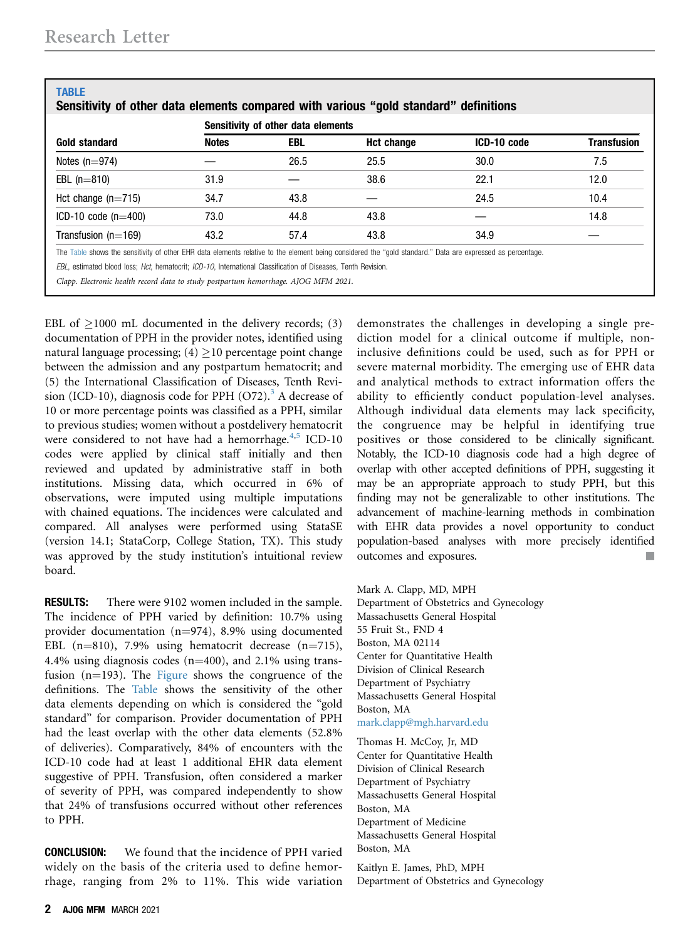<span id="page-1-0"></span>

| Gold standard         | Sensitivity of other data elements |      |            |             |                    |  |  |
|-----------------------|------------------------------------|------|------------|-------------|--------------------|--|--|
|                       | <b>Notes</b>                       | EBL  | Hct change | ICD-10 code | <b>Transfusion</b> |  |  |
| Notes $(n=974)$       |                                    | 26.5 | 25.5       | 30.0        | 7.5                |  |  |
| EBL $(n=810)$         | 31.9                               |      | 38.6       | 22.1        | 12.0               |  |  |
| Hct change $(n=715)$  | 34.7                               | 43.8 |            | 24.5        | 10.4               |  |  |
| ICD-10 code $(n=400)$ | 73.0                               | 44.8 | 43.8       |             | 14.8               |  |  |
| Transfusion $(n=169)$ | 43.2                               | 57.4 | 43.8       | 34.9        |                    |  |  |

Clapp. Electronic health record data to study postpartum hemorrhage. AJOG MFM 2021.

EBL of  $\geq$ 1000 mL documented in the delivery records; (3) documentation of PPH in the provider notes, identified using natural language processing;  $(4) \ge 10$  percentage point change between the admission and any postpartum hematocrit; and (5) the International Classification of Diseases, Tenth Revision (ICD-10), diagnosis code for PPH  $(O72)^3$  $(O72)^3$ . A decrease of 10 or more percentage points was classified as a PPH, similar to previous studies; women without a postdelivery hematocrit were considered to not have had a hemorrhage. $4,5$  $4,5$  ICD-10 codes were applied by clinical staff initially and then reviewed and updated by administrative staff in both institutions. Missing data, which occurred in 6% of observations, were imputed using multiple imputations with chained equations. The incidences were calculated and compared. All analyses were performed using StataSE (version 14.1; StataCorp, College Station, TX). This study was approved by the study institution's intuitional review board.

**RESULTS:** There were 9102 women included in the sample. The incidence of PPH varied by definition: 10.7% using provider documentation  $(n=974)$ , 8.9% using documented EBL (n=810), 7.9% using hematocrit decrease (n=715), 4.4% using diagnosis codes ( $n=400$ ), and 2.1% using transfusion  $(n=193)$ . The [Figure](#page-0-0) shows the congruence of the definitions. The [Table](#page-1-0) shows the sensitivity of the other data elements depending on which is considered the "gold standard" for comparison. Provider documentation of PPH had the least overlap with the other data elements (52.8% of deliveries). Comparatively, 84% of encounters with the ICD-10 code had at least 1 additional EHR data element suggestive of PPH. Transfusion, often considered a marker of severity of PPH, was compared independently to show that 24% of transfusions occurred without other references to PPH.

**CONCLUSION:** We found that the incidence of PPH varied widely on the basis of the criteria used to define hemorrhage, ranging from 2% to 11%. This wide variation demonstrates the challenges in developing a single prediction model for a clinical outcome if multiple, noninclusive definitions could be used, such as for PPH or severe maternal morbidity. The emerging use of EHR data and analytical methods to extract information offers the ability to efficiently conduct population-level analyses. Although individual data elements may lack specificity, the congruence may be helpful in identifying true positives or those considered to be clinically significant. Notably, the ICD-10 diagnosis code had a high degree of overlap with other accepted definitions of PPH, suggesting it may be an appropriate approach to study PPH, but this finding may not be generalizable to other institutions. The advancement of machine-learning methods in combination with EHR data provides a novel opportunity to conduct population-based analyses with more precisely identified outcomes and exposures.

Mark A. Clapp, MD, MPH Department of Obstetrics and Gynecology Massachusetts General Hospital 55 Fruit St., FND 4 Boston, MA 02114 Center for Quantitative Health Division of Clinical Research Department of Psychiatry Massachusetts General Hospital Boston, MA [mark.clapp@mgh.harvard.edu](mailto:mark.clapp@mgh.harvard.edu)

Thomas H. McCoy, Jr, MD Center for Quantitative Health Division of Clinical Research Department of Psychiatry Massachusetts General Hospital Boston, MA Department of Medicine Massachusetts General Hospital Boston, MA

Kaitlyn E. James, PhD, MPH Department of Obstetrics and Gynecology